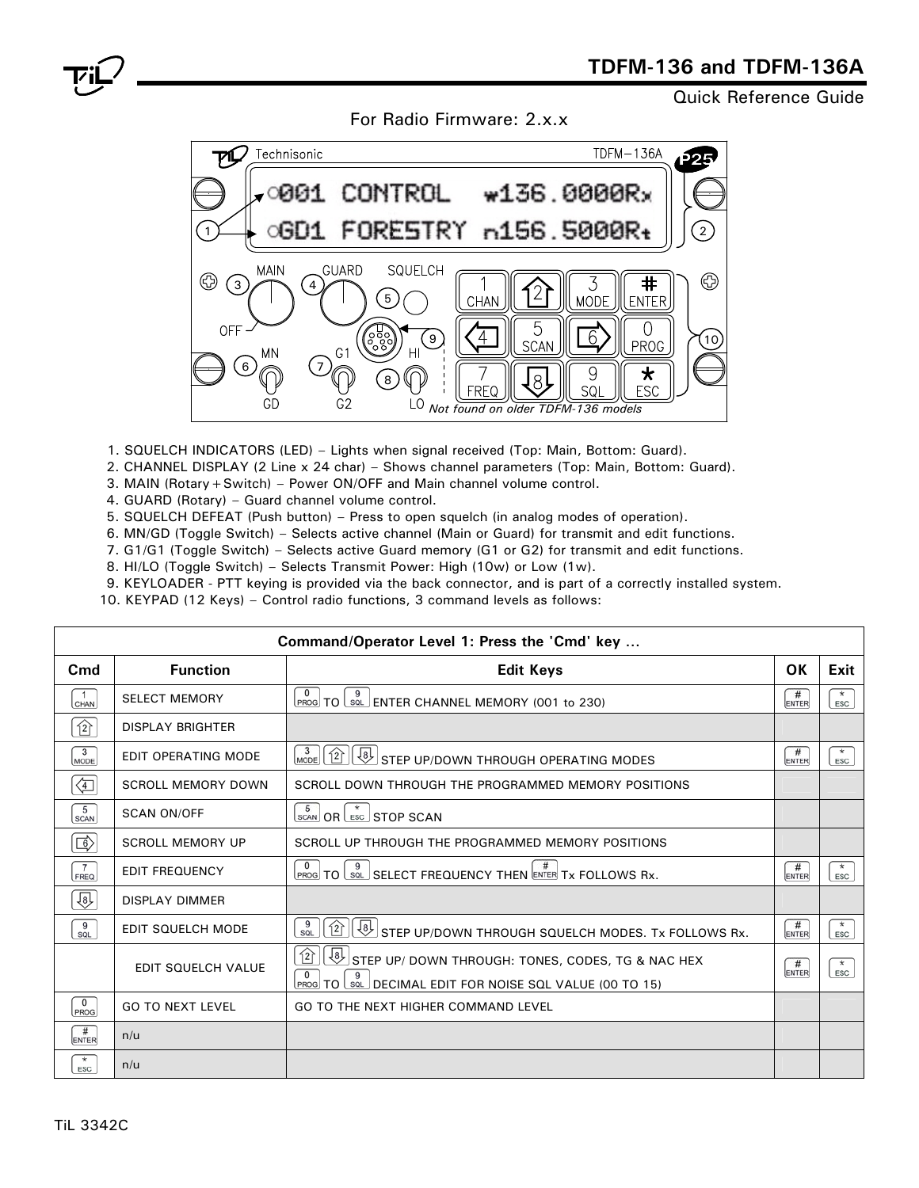Quick Reference Guide

For Radio Firmware: 2.x.x



- 1. SQUELCH INDICATORS (LED) Lights when signal received (Top: Main, Bottom: Guard).
- 2. CHANNEL DISPLAY (2 Line x 24 char) Shows channel parameters (Top: Main, Bottom: Guard).
- 3. MAIN (Rotary+Switch) Power ON/OFF and Main channel volume control.
- 4. GUARD (Rotary) Guard channel volume control.
- 5. SQUELCH DEFEAT (Push button) Press to open squelch (in analog modes of operation).
- 6. MN/GD (Toggle Switch) Selects active channel (Main or Guard) for transmit and edit functions.
- 7. G1/G1 (Toggle Switch) Selects active Guard memory (G1 or G2) for transmit and edit functions.
- 8. HI/LO (Toggle Switch) Selects Transmit Power: High (10w) or Low (1w).
- 9. KEYLOADER PTT keying is provided via the back connector, and is part of a correctly installed system.
- 10. KEYPAD (12 Keys) Control radio functions, 3 command levels as follows:

| Command/Operator Level 1: Press the 'Cmd' key |                           |                                                                                                                                               |                   |                |  |  |  |  |  |
|-----------------------------------------------|---------------------------|-----------------------------------------------------------------------------------------------------------------------------------------------|-------------------|----------------|--|--|--|--|--|
| Cmd                                           | <b>Function</b>           | <b>Edit Keys</b>                                                                                                                              | <b>OK</b>         | Exit           |  |  |  |  |  |
| -1<br>CHAN                                    | <b>SELECT MEMORY</b>      | $\boxed{\frac{0}{\text{PROC}}}$ TO $\boxed{\frac{9}{\text{SQL}}}$ ENTER CHANNEL MEMORY (001 to 230)                                           | #<br><b>ENTER</b> | $\star$<br>ESC |  |  |  |  |  |
| $\mathbf{\widehat{2}}$                        | <b>DISPLAY BRIGHTER</b>   |                                                                                                                                               |                   |                |  |  |  |  |  |
| $\overline{\mathbf{3}}$<br>MODE               | EDIT OPERATING MODE       | $\frac{3}{\text{MoDE}}$ $\left[\frac{2}{2}\right]$ $\left[\frac{8}{8}\right]$ STEP UP/DOWN THROUGH OPERATING MODES                            | #<br><b>ENTER</b> | $\star$<br>ESC |  |  |  |  |  |
| ④                                             | <b>SCROLL MEMORY DOWN</b> | SCROLL DOWN THROUGH THE PROGRAMMED MEMORY POSITIONS                                                                                           |                   |                |  |  |  |  |  |
| 5<br>SCAN                                     | <b>SCAN ON/OFF</b>        | 5<br>SCAN OR LESC STOP SCAN                                                                                                                   |                   |                |  |  |  |  |  |
| ⑤                                             | <b>SCROLL MEMORY UP</b>   | SCROLL UP THROUGH THE PROGRAMMED MEMORY POSITIONS                                                                                             |                   |                |  |  |  |  |  |
| $\overline{7}$<br>FREQ                        | <b>EDIT FREQUENCY</b>     | $\circ$<br>PROG TO SOL SELECT FREQUENCY THEN ENTER TX FOLLOWS Rx.                                                                             | #<br><b>ENTER</b> | $\star$<br>ESC |  |  |  |  |  |
| 會                                             | <b>DISPLAY DIMMER</b>     |                                                                                                                                               |                   |                |  |  |  |  |  |
| $\frac{9}{50}$                                | EDIT SQUELCH MODE         | $\frac{9}{\text{SQL}}$<br>STEP UP/DOWN THROUGH SQUELCH MODES. Tx FOLLOWS Rx.<br>$\lbrack 2\rbrack$                                            | #<br><b>ENTER</b> | $\star$<br>ESC |  |  |  |  |  |
|                                               | EDIT SQUELCH VALUE        | 份<br>$\underline{\text{S}}$ STEP UP/ DOWN THROUGH: TONES, CODES, TG & NAC HEX<br>0<br>PROG TO SOL DECIMAL EDIT FOR NOISE SQL VALUE (00 TO 15) | #<br><b>ENTER</b> | $\star$<br>ESC |  |  |  |  |  |
| $\circ$<br>PROG                               | <b>GO TO NEXT LEVEL</b>   | GO TO THE NEXT HIGHER COMMAND LEVEL                                                                                                           |                   |                |  |  |  |  |  |
| #<br><b>ENTER</b>                             | n/u                       |                                                                                                                                               |                   |                |  |  |  |  |  |
| ESC                                           | n/u                       |                                                                                                                                               |                   |                |  |  |  |  |  |